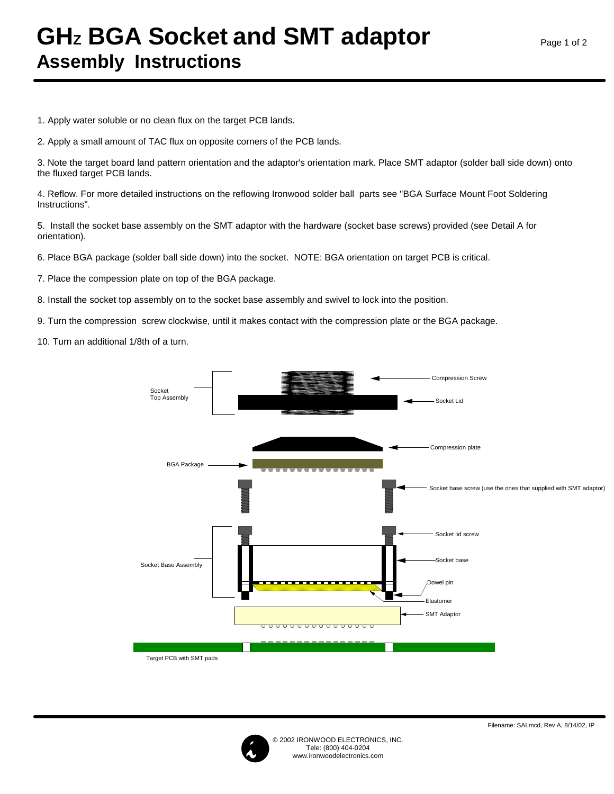## **GHz BGA Socket and SMT adaptor Assembly Instructions**

1. Apply water soluble or no clean flux on the target PCB lands.

2. Apply a small amount of TAC flux on opposite corners of the PCB lands.

3. Note the target board land pattern orientation and the adaptor's orientation mark. Place SMT adaptor (solder ball side down) onto the fluxed target PCB lands.

4. Reflow. For more detailed instructions on the reflowing Ironwood solder ball parts see "BGA Surface Mount Foot Soldering Instructions".

5. Install the socket base assembly on the SMT adaptor with the hardware (socket base screws) provided (see Detail A for orientation).

6. Place BGA package (solder ball side down) into the socket. NOTE: BGA orientation on target PCB is critical.

7. Place the compession plate on top of the BGA package.

8. Install the socket top assembly on to the socket base assembly and swivel to lock into the position.

9. Turn the compression screw clockwise, until it makes contact with the compression plate or the BGA package.

10. Turn an additional 1/8th of a turn.





© 2002 IRONWOOD ELECTRONICS, INC. Tele: (800) 404-0204 www.ironwoodelectronics.com